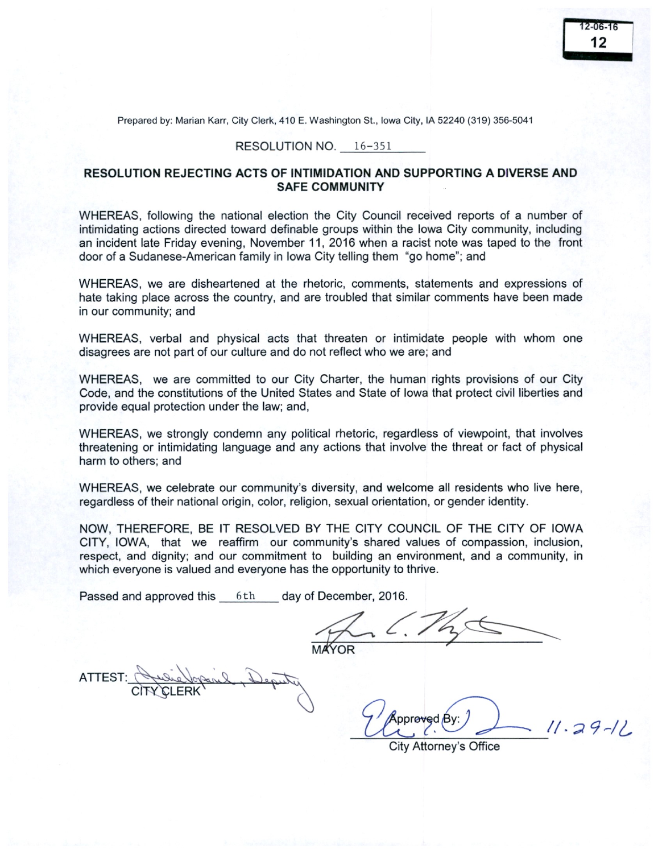Prepared by: Marian Karr, City Clerk, 410 E. Washington St., Iowa City, IA 52240 (319) 356-5041

## RESOLUTION NO. 16-351

## RESOLUTION REJECTING ACTS OF INTIMIDATION AND SUPPORTING A DIVERSE AND SAFE COMMUNITY

WHEREAS, following the national election the City Council received reports of a number of intimidating actions directed toward definable groups within the Iowa City community, including an incident late Friday evening, November 11, 2016 when a racist note was taped to the front door of a Sudanese -American family in Iowa City telling them " go home'; and

WHEREAS, we are disheartened at the rhetoric, comments, statements and expressions of hate taking place across the country, and are troubled that similar comments have been made in our community; and

WHEREAS, verbal and physical acts that threaten or intimidate people with whom one disagrees are not part of our culture and do not reflect who we are; and

WHEREAS, we are committed to our City Charter, the human rights provisions of our City Code, and the constitutions of the United States and State of Iowa that protect civil liberties and provide equal protection under the law; and,

WHEREAS, we strongly condemn any political rhetoric, regardless of viewpoint, that involves threatening or intimidating language and any actions that involve the threat or fact of physical harm to others; and

WHEREAS, we celebrate our community's diversity, and welcome all residents who live here, regardless of their national origin, color, religion, sexual orientation, or gender identity.

NOW, THEREFORE, BE IT RESOLVED BY THE CITY COUNCIL OF THE CITY OF IOWA CITY, IOWA, that we reaffirm our community's shared values of compassion, inclusion, respect, and dignity; and our commitment to building an environment, and a community, in which everyone is valued and everyone has the opportunity to thrive.

Passed and approved this 6th day of December, 2016.

MAYOR

ATTEST: CITY CLERK

pproved By:  $11.29 - 12$ 

City Attorney's Office